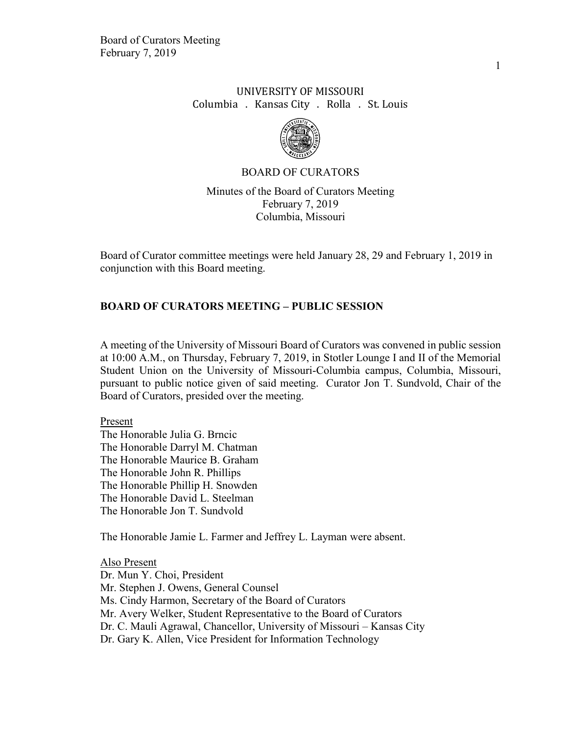# UNIVERSITY OF MISSOURI Columbia . Kansas City . Rolla . St. Louis



#### BOARD OF CURATORS

Minutes of the Board of Curators Meeting February 7, 2019 Columbia, Missouri

Board of Curator committee meetings were held January 28, 29 and February 1, 2019 in conjunction with this Board meeting.

### **BOARD OF CURATORS MEETING – PUBLIC SESSION**

A meeting of the University of Missouri Board of Curators was convened in public session at 10:00 A.M., on Thursday, February 7, 2019, in Stotler Lounge I and II of the Memorial Student Union on the University of Missouri-Columbia campus, Columbia, Missouri, pursuant to public notice given of said meeting. Curator Jon T. Sundvold, Chair of the Board of Curators, presided over the meeting.

Present

The Honorable Julia G. Brncic The Honorable Darryl M. Chatman The Honorable Maurice B. Graham The Honorable John R. Phillips The Honorable Phillip H. Snowden The Honorable David L. Steelman The Honorable Jon T. Sundvold

The Honorable Jamie L. Farmer and Jeffrey L. Layman were absent.

Also Present Dr. Mun Y. Choi, President Mr. Stephen J. Owens, General Counsel Ms. Cindy Harmon, Secretary of the Board of Curators Mr. Avery Welker, Student Representative to the Board of Curators Dr. C. Mauli Agrawal, Chancellor, University of Missouri – Kansas City Dr. Gary K. Allen, Vice President for Information Technology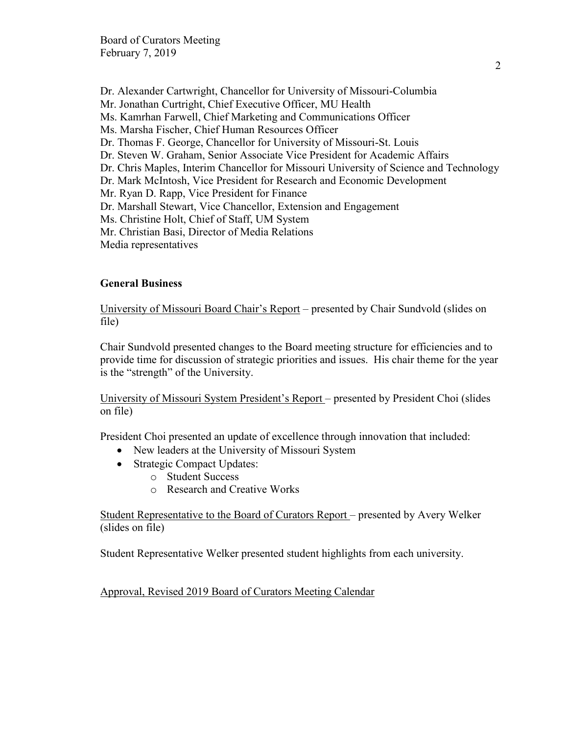Dr. Alexander Cartwright, Chancellor for University of Missouri-Columbia Mr. Jonathan Curtright, Chief Executive Officer, MU Health Ms. Kamrhan Farwell, Chief Marketing and Communications Officer Ms. Marsha Fischer, Chief Human Resources Officer Dr. Thomas F. George, Chancellor for University of Missouri-St. Louis Dr. Steven W. Graham, Senior Associate Vice President for Academic Affairs Dr. Chris Maples, Interim Chancellor for Missouri University of Science and Technology Dr. Mark McIntosh, Vice President for Research and Economic Development Mr. Ryan D. Rapp, Vice President for Finance Dr. Marshall Stewart, Vice Chancellor, Extension and Engagement Ms. Christine Holt, Chief of Staff, UM System Mr. Christian Basi, Director of Media Relations Media representatives

### **General Business**

University of Missouri Board Chair's Report – presented by Chair Sundvold (slides on file)

Chair Sundvold presented changes to the Board meeting structure for efficiencies and to provide time for discussion of strategic priorities and issues. His chair theme for the year is the "strength" of the University.

University of Missouri System President's Report – presented by President Choi (slides on file)

President Choi presented an update of excellence through innovation that included:

- New leaders at the University of Missouri System
- Strategic Compact Updates:
	- o Student Success
	- o Research and Creative Works

Student Representative to the Board of Curators Report – presented by Avery Welker (slides on file)

Student Representative Welker presented student highlights from each university.

Approval, Revised 2019 Board of Curators Meeting Calendar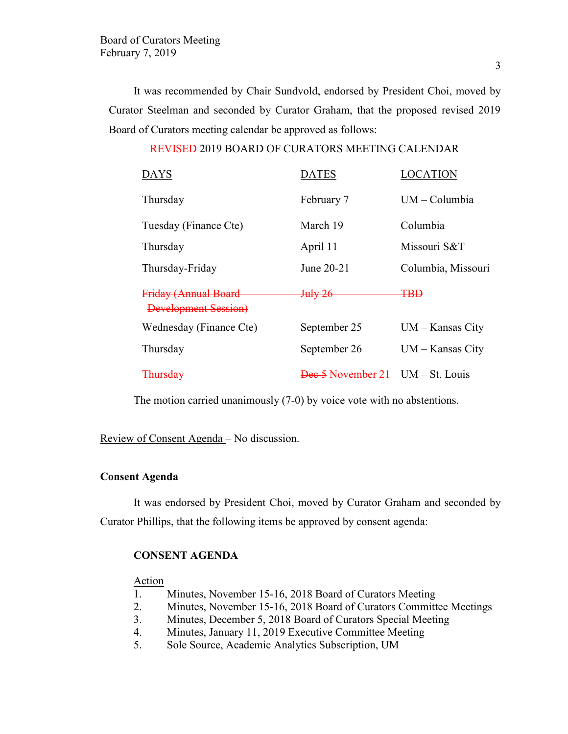It was recommended by Chair Sundvold, endorsed by President Choi, moved by Curator Steelman and seconded by Curator Graham, that the proposed revised 2019 Board of Curators meeting calendar be approved as follows:

# REVISED 2019 BOARD OF CURATORS MEETING CALENDAR

| DAYS                                                | <b>DATES</b>                       | LOCATION           |
|-----------------------------------------------------|------------------------------------|--------------------|
| Thursday                                            | February 7                         | $UM - Columbia$    |
| Tuesday (Finance Cte)                               | March 19                           | Columbia           |
| Thursday                                            | April 11                           | Missouri S&T       |
| Thursday-Friday                                     | June 20-21                         | Columbia, Missouri |
| Friday (Annual Board<br><b>Development Session)</b> | July 26-                           | <del>TBD</del>     |
| Wednesday (Finance Cte)                             | September 25                       | $UM - Kansas City$ |
| Thursday                                            | September 26                       | $UM - Kansas City$ |
| Thursday                                            | $Dec 5$ November 21 UM – St. Louis |                    |

The motion carried unanimously (7-0) by voice vote with no abstentions.

Review of Consent Agenda – No discussion.

# **Consent Agenda**

It was endorsed by President Choi, moved by Curator Graham and seconded by Curator Phillips, that the following items be approved by consent agenda:

#### **CONSENT AGENDA**

# Action

- 1. Minutes, November 15-16, 2018 Board of Curators Meeting
- 2. Minutes, November 15-16, 2018 Board of Curators Committee Meetings
- 3. Minutes, December 5, 2018 Board of Curators Special Meeting
- 4. Minutes, January 11, 2019 Executive Committee Meeting
- 5. Sole Source, Academic Analytics Subscription, UM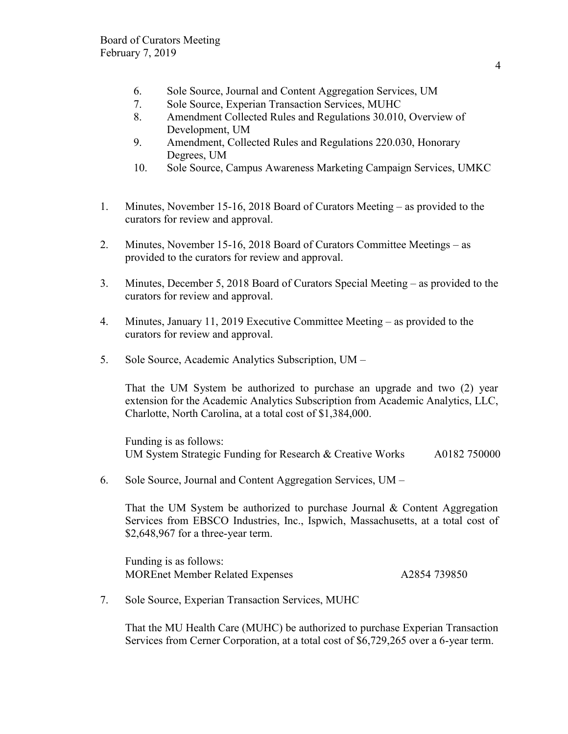- 6. Sole Source, Journal and Content Aggregation Services, UM
- 7. Sole Source, Experian Transaction Services, MUHC
- 8. Amendment Collected Rules and Regulations 30.010, Overview of Development, UM
- 9. Amendment, Collected Rules and Regulations 220.030, Honorary Degrees, UM
- 10. Sole Source, Campus Awareness Marketing Campaign Services, UMKC
- 1. Minutes, November 15-16, 2018 Board of Curators Meeting as provided to the curators for review and approval.
- 2. Minutes, November 15-16, 2018 Board of Curators Committee Meetings as provided to the curators for review and approval.
- 3. Minutes, December 5, 2018 Board of Curators Special Meeting as provided to the curators for review and approval.
- 4. Minutes, January 11, 2019 Executive Committee Meeting as provided to the curators for review and approval.
- 5. Sole Source, Academic Analytics Subscription, UM –

That the UM System be authorized to purchase an upgrade and two (2) year extension for the Academic Analytics Subscription from Academic Analytics, LLC, Charlotte, North Carolina, at a total cost of \$1,384,000.

Funding is as follows: UM System Strategic Funding for Research & Creative Works A0182 750000

6. Sole Source, Journal and Content Aggregation Services, UM –

That the UM System be authorized to purchase Journal  $\&$  Content Aggregation Services from EBSCO Industries, Inc., Ispwich, Massachusetts, at a total cost of \$2,648,967 for a three-year term.

Funding is as follows: MOREnet Member Related Expenses A2854 739850

7. Sole Source, Experian Transaction Services, MUHC

That the MU Health Care (MUHC) be authorized to purchase Experian Transaction Services from Cerner Corporation, at a total cost of \$6,729,265 over a 6-year term.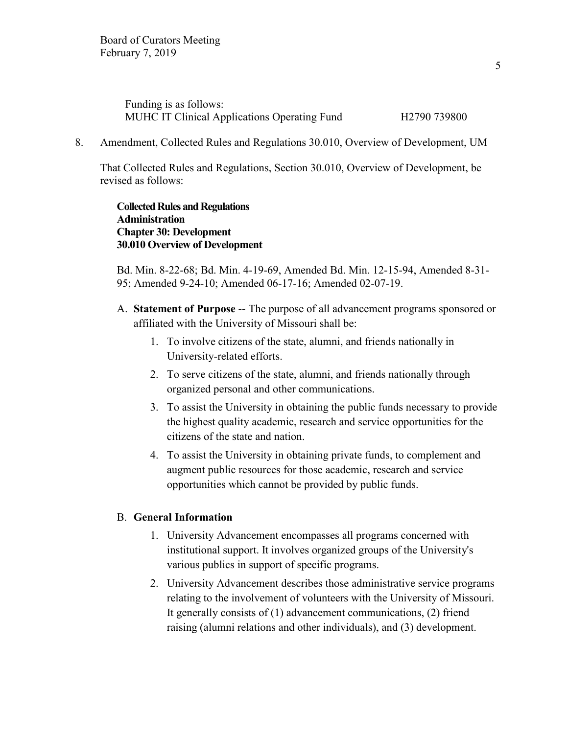| Funding is as follows:                              |                          |
|-----------------------------------------------------|--------------------------|
| <b>MUHC IT Clinical Applications Operating Fund</b> | H <sub>2790</sub> 739800 |

8. Amendment, Collected Rules and Regulations 30.010, Overview of Development, UM

That Collected Rules and Regulations, Section 30.010, Overview of Development, be revised as follows:

**Collected Rules and Regulations Administration Chapter 30: Development 30.010 Overview of Development** 

Bd. Min. 8-22-68; Bd. Min. 4-19-69, Amended Bd. Min. 12-15-94, Amended 8-31- 95; Amended 9-24-10; Amended 06-17-16; Amended 02-07-19.

- A. **Statement of Purpose** -- The purpose of all advancement programs sponsored or affiliated with the University of Missouri shall be:
	- 1. To involve citizens of the state, alumni, and friends nationally in University-related efforts.
	- 2. To serve citizens of the state, alumni, and friends nationally through organized personal and other communications.
	- 3. To assist the University in obtaining the public funds necessary to provide the highest quality academic, research and service opportunities for the citizens of the state and nation.
	- 4. To assist the University in obtaining private funds, to complement and augment public resources for those academic, research and service opportunities which cannot be provided by public funds.

### B. **General Information**

- 1. University Advancement encompasses all programs concerned with institutional support. It involves organized groups of the University's various publics in support of specific programs.
- 2. University Advancement describes those administrative service programs relating to the involvement of volunteers with the University of Missouri. It generally consists of (1) advancement communications, (2) friend raising (alumni relations and other individuals), and (3) development.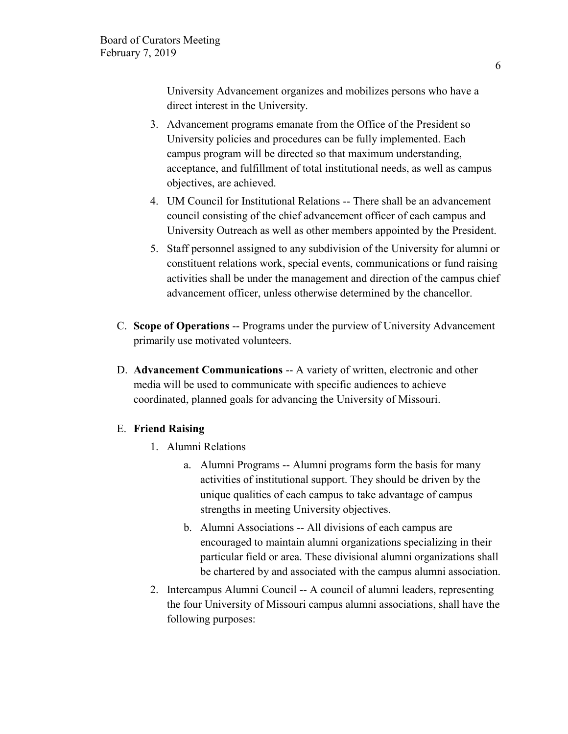University Advancement organizes and mobilizes persons who have a direct interest in the University.

- 3. Advancement programs emanate from the Office of the President so University policies and procedures can be fully implemented. Each campus program will be directed so that maximum understanding, acceptance, and fulfillment of total institutional needs, as well as campus objectives, are achieved.
- 4. UM Council for Institutional Relations -- There shall be an advancement council consisting of the chief advancement officer of each campus and University Outreach as well as other members appointed by the President.
- 5. Staff personnel assigned to any subdivision of the University for alumni or constituent relations work, special events, communications or fund raising activities shall be under the management and direction of the campus chief advancement officer, unless otherwise determined by the chancellor.
- C. **Scope of Operations** -- Programs under the purview of University Advancement primarily use motivated volunteers.
- D. **Advancement Communications** -- A variety of written, electronic and other media will be used to communicate with specific audiences to achieve coordinated, planned goals for advancing the University of Missouri.

# E. **Friend Raising**

- 1. Alumni Relations
	- a. Alumni Programs -- Alumni programs form the basis for many activities of institutional support. They should be driven by the unique qualities of each campus to take advantage of campus strengths in meeting University objectives.
	- b. Alumni Associations -- All divisions of each campus are encouraged to maintain alumni organizations specializing in their particular field or area. These divisional alumni organizations shall be chartered by and associated with the campus alumni association.
- 2. Intercampus Alumni Council -- A council of alumni leaders, representing the four University of Missouri campus alumni associations, shall have the following purposes: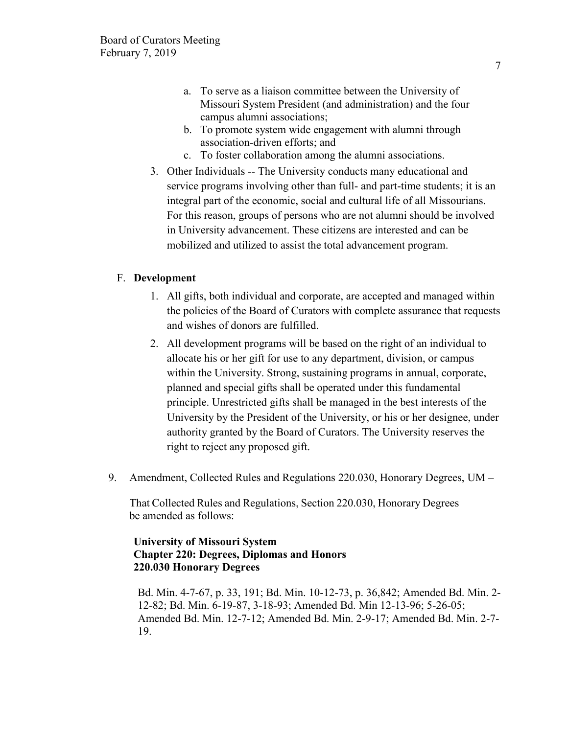- a. To serve as a liaison committee between the University of Missouri System President (and administration) and the four campus alumni associations;
- b. To promote system wide engagement with alumni through association-driven efforts; and
- c. To foster collaboration among the alumni associations.
- 3. Other Individuals -- The University conducts many educational and service programs involving other than full- and part-time students; it is an integral part of the economic, social and cultural life of all Missourians. For this reason, groups of persons who are not alumni should be involved in University advancement. These citizens are interested and can be mobilized and utilized to assist the total advancement program.

### F. **Development**

- 1. All gifts, both individual and corporate, are accepted and managed within the policies of the Board of Curators with complete assurance that requests and wishes of donors are fulfilled.
- 2. All development programs will be based on the right of an individual to allocate his or her gift for use to any department, division, or campus within the University. Strong, sustaining programs in annual, corporate, planned and special gifts shall be operated under this fundamental principle. Unrestricted gifts shall be managed in the best interests of the University by the President of the University, or his or her designee, under authority granted by the Board of Curators. The University reserves the right to reject any proposed gift.
- 9. Amendment, Collected Rules and Regulations 220.030, Honorary Degrees, UM –

That Collected Rules and Regulations, Section 220.030, Honorary Degrees be amended as follows:

### **University of Missouri System Chapter 220: Degrees, Diplomas and Honors 220.030 Honorary Degrees**

Bd. Min. 4-7-67, p. 33, 191; Bd. Min. 10-12-73, p. 36,842; Amended Bd. Min. 2- 12-82; Bd. Min. 6-19-87, 3-18-93; Amended Bd. Min 12-13-96; 5-26-05; Amended Bd. Min. 12-7-12; Amended Bd. Min. 2-9-17; Amended Bd. Min. 2-7- 19.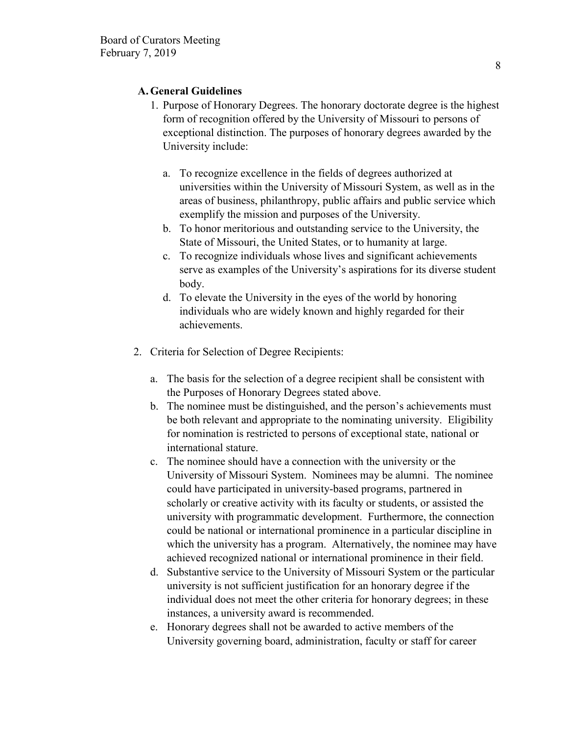# **A.General Guidelines**

- 1. Purpose of Honorary Degrees. The honorary doctorate degree is the highest form of recognition offered by the University of Missouri to persons of exceptional distinction. The purposes of honorary degrees awarded by the University include:
	- a. To recognize excellence in the fields of degrees authorized at universities within the University of Missouri System, as well as in the areas of business, philanthropy, public affairs and public service which exemplify the mission and purposes of the University.
	- b. To honor meritorious and outstanding service to the University, the State of Missouri, the United States, or to humanity at large.
	- c. To recognize individuals whose lives and significant achievements serve as examples of the University's aspirations for its diverse student body.
	- d. To elevate the University in the eyes of the world by honoring individuals who are widely known and highly regarded for their achievements.
- 2. Criteria for Selection of Degree Recipients:
	- a. The basis for the selection of a degree recipient shall be consistent with the Purposes of Honorary Degrees stated above.
	- b. The nominee must be distinguished, and the person's achievements must be both relevant and appropriate to the nominating university. Eligibility for nomination is restricted to persons of exceptional state, national or international stature.
	- c. The nominee should have a connection with the university or the University of Missouri System. Nominees may be alumni. The nominee could have participated in university-based programs, partnered in scholarly or creative activity with its faculty or students, or assisted the university with programmatic development. Furthermore, the connection could be national or international prominence in a particular discipline in which the university has a program. Alternatively, the nominee may have achieved recognized national or international prominence in their field.
	- d. Substantive service to the University of Missouri System or the particular university is not sufficient justification for an honorary degree if the individual does not meet the other criteria for honorary degrees; in these instances, a university award is recommended.
	- e. Honorary degrees shall not be awarded to active members of the University governing board, administration, faculty or staff for career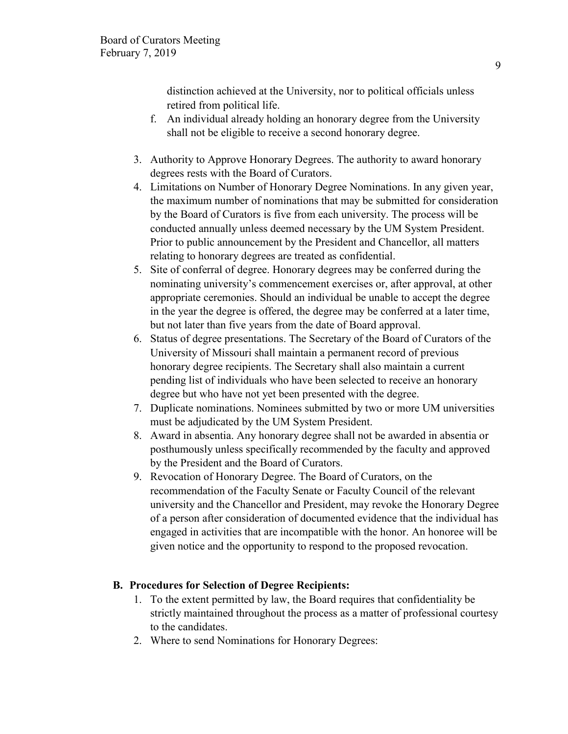distinction achieved at the University, nor to political officials unless retired from political life.

- f. An individual already holding an honorary degree from the University shall not be eligible to receive a second honorary degree.
- 3. Authority to Approve Honorary Degrees. The authority to award honorary degrees rests with the Board of Curators.
- 4. Limitations on Number of Honorary Degree Nominations. In any given year, the maximum number of nominations that may be submitted for consideration by the Board of Curators is five from each university. The process will be conducted annually unless deemed necessary by the UM System President. Prior to public announcement by the President and Chancellor, all matters relating to honorary degrees are treated as confidential.
- 5. Site of conferral of degree. Honorary degrees may be conferred during the nominating university's commencement exercises or, after approval, at other appropriate ceremonies. Should an individual be unable to accept the degree in the year the degree is offered, the degree may be conferred at a later time, but not later than five years from the date of Board approval.
- 6. Status of degree presentations. The Secretary of the Board of Curators of the University of Missouri shall maintain a permanent record of previous honorary degree recipients. The Secretary shall also maintain a current pending list of individuals who have been selected to receive an honorary degree but who have not yet been presented with the degree.
- 7. Duplicate nominations. Nominees submitted by two or more UM universities must be adjudicated by the UM System President.
- 8. Award in absentia. Any honorary degree shall not be awarded in absentia or posthumously unless specifically recommended by the faculty and approved by the President and the Board of Curators.
- 9. Revocation of Honorary Degree. The Board of Curators, on the recommendation of the Faculty Senate or Faculty Council of the relevant university and the Chancellor and President, may revoke the Honorary Degree of a person after consideration of documented evidence that the individual has engaged in activities that are incompatible with the honor. An honoree will be given notice and the opportunity to respond to the proposed revocation.

# **B. Procedures for Selection of Degree Recipients:**

- 1. To the extent permitted by law, the Board requires that confidentiality be strictly maintained throughout the process as a matter of professional courtesy to the candidates.
- 2. Where to send Nominations for Honorary Degrees: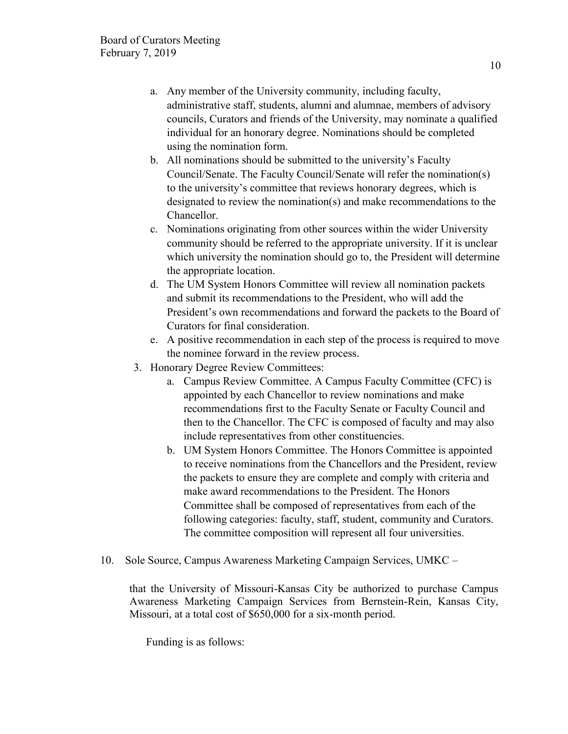- a. Any member of the University community, including faculty, administrative staff, students, alumni and alumnae, members of advisory councils, Curators and friends of the University, may nominate a qualified individual for an honorary degree. Nominations should be completed using the nomination form.
- b. All nominations should be submitted to the university's Faculty Council/Senate. The Faculty Council/Senate will refer the nomination(s) to the university's committee that reviews honorary degrees, which is designated to review the nomination(s) and make recommendations to the Chancellor.
- c. Nominations originating from other sources within the wider University community should be referred to the appropriate university. If it is unclear which university the nomination should go to, the President will determine the appropriate location.
- d. The UM System Honors Committee will review all nomination packets and submit its recommendations to the President, who will add the President's own recommendations and forward the packets to the Board of Curators for final consideration.
- e. A positive recommendation in each step of the process is required to move the nominee forward in the review process.
- 3. Honorary Degree Review Committees:
	- a. Campus Review Committee. A Campus Faculty Committee (CFC) is appointed by each Chancellor to review nominations and make recommendations first to the Faculty Senate or Faculty Council and then to the Chancellor. The CFC is composed of faculty and may also include representatives from other constituencies.
	- b. UM System Honors Committee. The Honors Committee is appointed to receive nominations from the Chancellors and the President, review the packets to ensure they are complete and comply with criteria and make award recommendations to the President. The Honors Committee shall be composed of representatives from each of the following categories: faculty, staff, student, community and Curators. The committee composition will represent all four universities.
- 10. Sole Source, Campus Awareness Marketing Campaign Services, UMKC –

that the University of Missouri-Kansas City be authorized to purchase Campus Awareness Marketing Campaign Services from Bernstein-Rein, Kansas City, Missouri, at a total cost of \$650,000 for a six-month period.

Funding is as follows: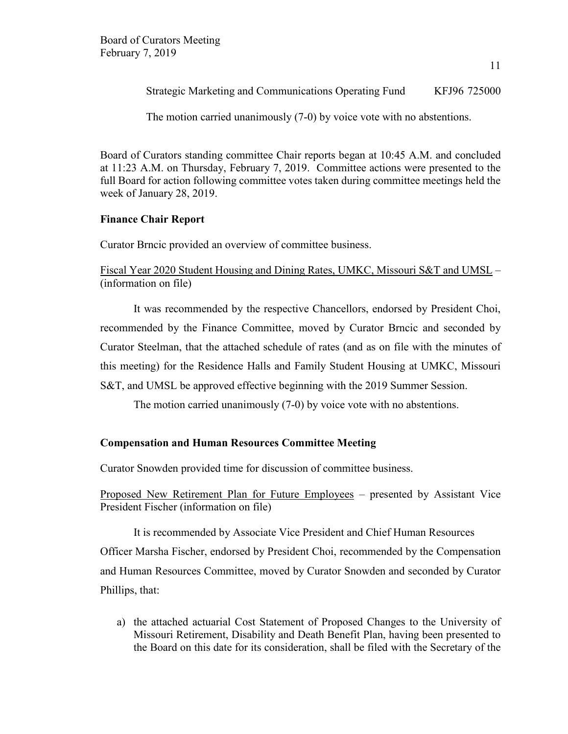Strategic Marketing and Communications Operating Fund KFJ96 725000

The motion carried unanimously (7-0) by voice vote with no abstentions.

Board of Curators standing committee Chair reports began at 10:45 A.M. and concluded at 11:23 A.M. on Thursday, February 7, 2019. Committee actions were presented to the full Board for action following committee votes taken during committee meetings held the week of January 28, 2019.

# **Finance Chair Report**

Curator Brncic provided an overview of committee business.

Fiscal Year 2020 Student Housing and Dining Rates, UMKC, Missouri S&T and UMSL – (information on file)

It was recommended by the respective Chancellors, endorsed by President Choi, recommended by the Finance Committee, moved by Curator Brncic and seconded by Curator Steelman, that the attached schedule of rates (and as on file with the minutes of this meeting) for the Residence Halls and Family Student Housing at UMKC, Missouri S&T, and UMSL be approved effective beginning with the 2019 Summer Session.

The motion carried unanimously (7-0) by voice vote with no abstentions.

# **Compensation and Human Resources Committee Meeting**

Curator Snowden provided time for discussion of committee business.

Proposed New Retirement Plan for Future Employees – presented by Assistant Vice President Fischer (information on file)

It is recommended by Associate Vice President and Chief Human Resources Officer Marsha Fischer, endorsed by President Choi, recommended by the Compensation and Human Resources Committee, moved by Curator Snowden and seconded by Curator Phillips, that:

a) the attached actuarial Cost Statement of Proposed Changes to the University of Missouri Retirement, Disability and Death Benefit Plan, having been presented to the Board on this date for its consideration, shall be filed with the Secretary of the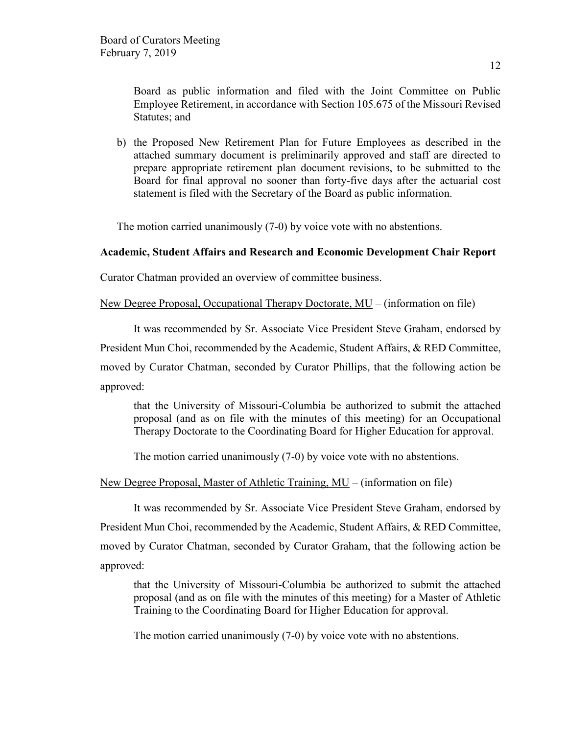Board as public information and filed with the Joint Committee on Public Employee Retirement, in accordance with Section 105.675 of the Missouri Revised Statutes; and

b) the Proposed New Retirement Plan for Future Employees as described in the attached summary document is preliminarily approved and staff are directed to prepare appropriate retirement plan document revisions, to be submitted to the Board for final approval no sooner than forty-five days after the actuarial cost statement is filed with the Secretary of the Board as public information.

The motion carried unanimously (7-0) by voice vote with no abstentions.

### **Academic, Student Affairs and Research and Economic Development Chair Report**

Curator Chatman provided an overview of committee business.

New Degree Proposal, Occupational Therapy Doctorate, MU – (information on file)

It was recommended by Sr. Associate Vice President Steve Graham, endorsed by

President Mun Choi, recommended by the Academic, Student Affairs, & RED Committee,

moved by Curator Chatman, seconded by Curator Phillips, that the following action be approved:

that the University of Missouri-Columbia be authorized to submit the attached proposal (and as on file with the minutes of this meeting) for an Occupational Therapy Doctorate to the Coordinating Board for Higher Education for approval.

The motion carried unanimously (7-0) by voice vote with no abstentions.

New Degree Proposal, Master of Athletic Training, MU – (information on file)

It was recommended by Sr. Associate Vice President Steve Graham, endorsed by President Mun Choi, recommended by the Academic, Student Affairs, & RED Committee, moved by Curator Chatman, seconded by Curator Graham, that the following action be approved:

that the University of Missouri-Columbia be authorized to submit the attached proposal (and as on file with the minutes of this meeting) for a Master of Athletic Training to the Coordinating Board for Higher Education for approval.

The motion carried unanimously (7-0) by voice vote with no abstentions.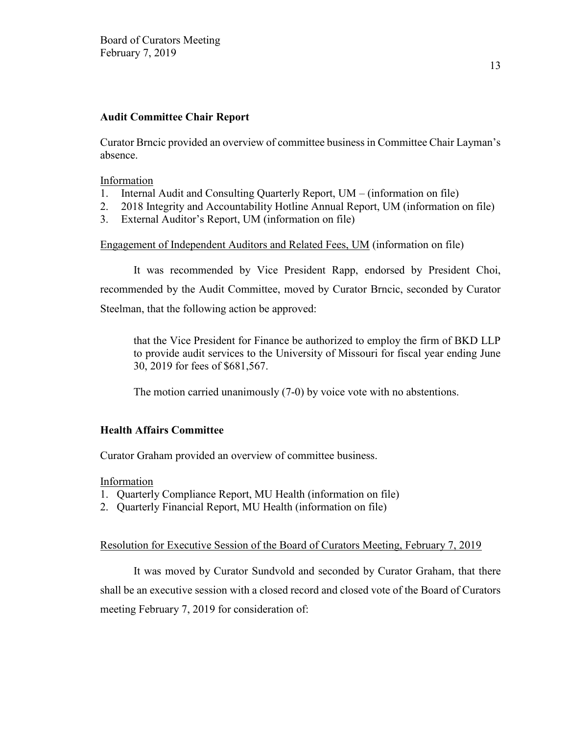### **Audit Committee Chair Report**

Curator Brncic provided an overview of committee business in Committee Chair Layman's absence.

### Information

- 1. Internal Audit and Consulting Quarterly Report, UM (information on file)
- 2. 2018 Integrity and Accountability Hotline Annual Report, UM (information on file)
- 3. External Auditor's Report, UM (information on file)

### Engagement of Independent Auditors and Related Fees, UM (information on file)

It was recommended by Vice President Rapp, endorsed by President Choi, recommended by the Audit Committee, moved by Curator Brncic, seconded by Curator Steelman, that the following action be approved:

that the Vice President for Finance be authorized to employ the firm of BKD LLP to provide audit services to the University of Missouri for fiscal year ending June 30, 2019 for fees of \$681,567.

The motion carried unanimously (7-0) by voice vote with no abstentions.

# **Health Affairs Committee**

Curator Graham provided an overview of committee business.

Information

- 1. Quarterly Compliance Report, MU Health (information on file)
- 2. Quarterly Financial Report, MU Health (information on file)

### Resolution for Executive Session of the Board of Curators Meeting, February 7, 2019

It was moved by Curator Sundvold and seconded by Curator Graham, that there shall be an executive session with a closed record and closed vote of the Board of Curators meeting February 7, 2019 for consideration of: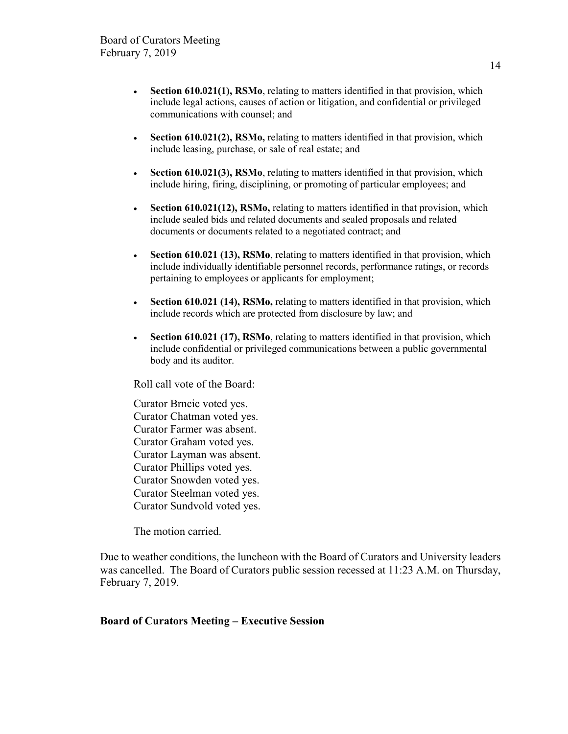- **Section 610.021(1), RSMo**, relating to matters identified in that provision, which include legal actions, causes of action or litigation, and confidential or privileged communications with counsel; and
- **Section 610.021(2), RSMo,** relating to matters identified in that provision, which include leasing, purchase, or sale of real estate; and
- **Section 610.021(3), RSMo**, relating to matters identified in that provision, which include hiring, firing, disciplining, or promoting of particular employees; and
- **Section 610.021(12), RSMo,** relating to matters identified in that provision, which include sealed bids and related documents and sealed proposals and related documents or documents related to a negotiated contract; and
- **Section 610.021 (13), RSMo**, relating to matters identified in that provision, which include individually identifiable personnel records, performance ratings, or records pertaining to employees or applicants for employment;
- **Section 610.021 (14), RSMo,** relating to matters identified in that provision, which include records which are protected from disclosure by law; and
- **Section 610.021 (17), RSMo**, relating to matters identified in that provision, which include confidential or privileged communications between a public governmental body and its auditor.

Roll call vote of the Board:

Curator Brncic voted yes. Curator Chatman voted yes. Curator Farmer was absent. Curator Graham voted yes. Curator Layman was absent. Curator Phillips voted yes. Curator Snowden voted yes. Curator Steelman voted yes. Curator Sundvold voted yes.

The motion carried.

Due to weather conditions, the luncheon with the Board of Curators and University leaders was cancelled. The Board of Curators public session recessed at 11:23 A.M. on Thursday, February 7, 2019.

### **Board of Curators Meeting – Executive Session**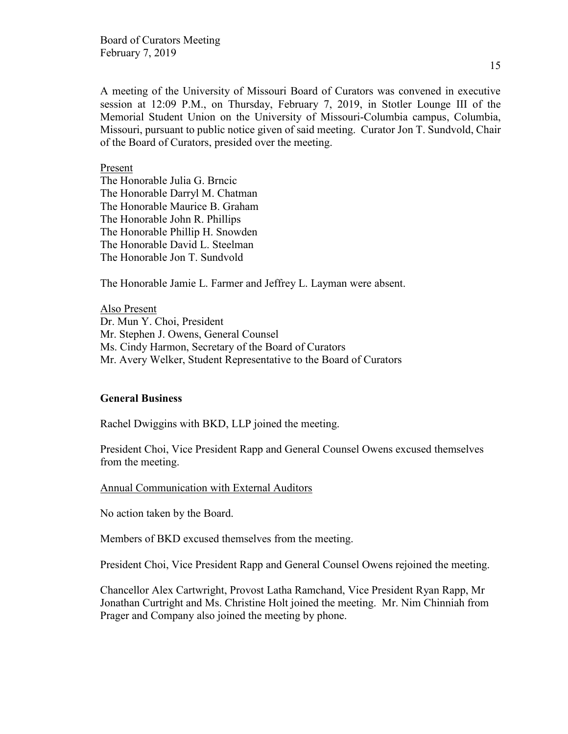Board of Curators Meeting February 7, 2019

A meeting of the University of Missouri Board of Curators was convened in executive session at 12:09 P.M., on Thursday, February 7, 2019, in Stotler Lounge III of the Memorial Student Union on the University of Missouri-Columbia campus, Columbia, Missouri, pursuant to public notice given of said meeting. Curator Jon T. Sundvold, Chair of the Board of Curators, presided over the meeting.

Present

The Honorable Julia G. Brncic The Honorable Darryl M. Chatman The Honorable Maurice B. Graham The Honorable John R. Phillips The Honorable Phillip H. Snowden The Honorable David L. Steelman The Honorable Jon T. Sundvold

The Honorable Jamie L. Farmer and Jeffrey L. Layman were absent.

Also Present Dr. Mun Y. Choi, President Mr. Stephen J. Owens, General Counsel Ms. Cindy Harmon, Secretary of the Board of Curators Mr. Avery Welker, Student Representative to the Board of Curators

### **General Business**

Rachel Dwiggins with BKD, LLP joined the meeting.

President Choi, Vice President Rapp and General Counsel Owens excused themselves from the meeting.

Annual Communication with External Auditors

No action taken by the Board.

Members of BKD excused themselves from the meeting.

President Choi, Vice President Rapp and General Counsel Owens rejoined the meeting.

Chancellor Alex Cartwright, Provost Latha Ramchand, Vice President Ryan Rapp, Mr Jonathan Curtright and Ms. Christine Holt joined the meeting. Mr. Nim Chinniah from Prager and Company also joined the meeting by phone.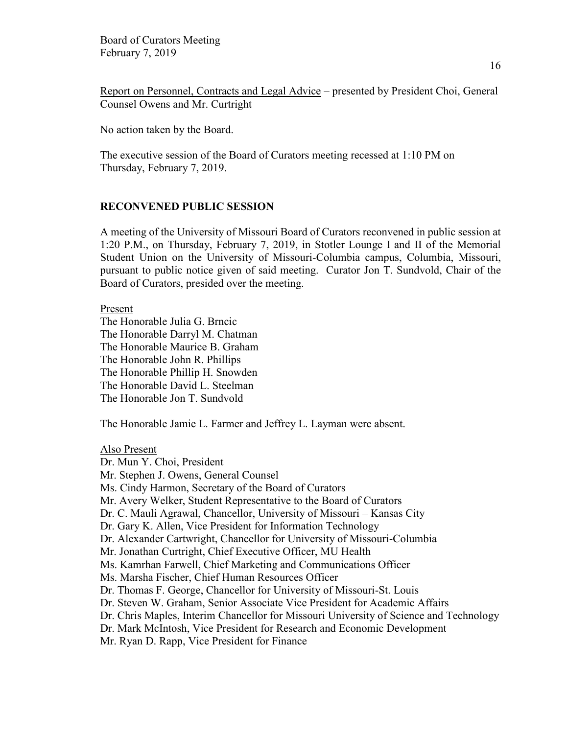Report on Personnel, Contracts and Legal Advice – presented by President Choi, General Counsel Owens and Mr. Curtright

No action taken by the Board.

The executive session of the Board of Curators meeting recessed at 1:10 PM on Thursday, February 7, 2019.

### **RECONVENED PUBLIC SESSION**

A meeting of the University of Missouri Board of Curators reconvened in public session at 1:20 P.M., on Thursday, February 7, 2019, in Stotler Lounge I and II of the Memorial Student Union on the University of Missouri-Columbia campus, Columbia, Missouri, pursuant to public notice given of said meeting. Curator Jon T. Sundvold, Chair of the Board of Curators, presided over the meeting.

Present

The Honorable Julia G. Brncic The Honorable Darryl M. Chatman The Honorable Maurice B. Graham The Honorable John R. Phillips The Honorable Phillip H. Snowden The Honorable David L. Steelman The Honorable Jon T. Sundvold

The Honorable Jamie L. Farmer and Jeffrey L. Layman were absent.

Also Present

Dr. Mun Y. Choi, President Mr. Stephen J. Owens, General Counsel Ms. Cindy Harmon, Secretary of the Board of Curators Mr. Avery Welker, Student Representative to the Board of Curators Dr. C. Mauli Agrawal, Chancellor, University of Missouri – Kansas City Dr. Gary K. Allen, Vice President for Information Technology Dr. Alexander Cartwright, Chancellor for University of Missouri-Columbia Mr. Jonathan Curtright, Chief Executive Officer, MU Health Ms. Kamrhan Farwell, Chief Marketing and Communications Officer Ms. Marsha Fischer, Chief Human Resources Officer Dr. Thomas F. George, Chancellor for University of Missouri-St. Louis Dr. Steven W. Graham, Senior Associate Vice President for Academic Affairs Dr. Chris Maples, Interim Chancellor for Missouri University of Science and Technology Dr. Mark McIntosh, Vice President for Research and Economic Development Mr. Ryan D. Rapp, Vice President for Finance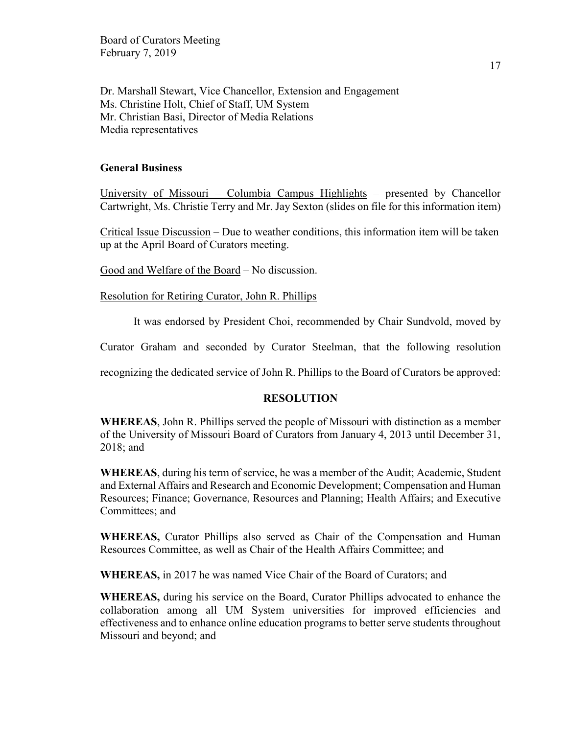Board of Curators Meeting February 7, 2019

Dr. Marshall Stewart, Vice Chancellor, Extension and Engagement Ms. Christine Holt, Chief of Staff, UM System Mr. Christian Basi, Director of Media Relations Media representatives

### **General Business**

University of Missouri – Columbia Campus Highlights – presented by Chancellor Cartwright, Ms. Christie Terry and Mr. Jay Sexton (slides on file for this information item)

Critical Issue Discussion – Due to weather conditions, this information item will be taken up at the April Board of Curators meeting.

Good and Welfare of the Board – No discussion.

Resolution for Retiring Curator, John R. Phillips

It was endorsed by President Choi, recommended by Chair Sundvold, moved by

Curator Graham and seconded by Curator Steelman, that the following resolution

recognizing the dedicated service of John R. Phillips to the Board of Curators be approved:

#### **RESOLUTION**

**WHEREAS**, John R. Phillips served the people of Missouri with distinction as a member of the University of Missouri Board of Curators from January 4, 2013 until December 31, 2018; and

**WHEREAS**, during his term of service, he was a member of the Audit; Academic, Student and External Affairs and Research and Economic Development; Compensation and Human Resources; Finance; Governance, Resources and Planning; Health Affairs; and Executive Committees; and

**WHEREAS,** Curator Phillips also served as Chair of the Compensation and Human Resources Committee, as well as Chair of the Health Affairs Committee; and

**WHEREAS,** in 2017 he was named Vice Chair of the Board of Curators; and

**WHEREAS,** during his service on the Board, Curator Phillips advocated to enhance the collaboration among all UM System universities for improved efficiencies and effectiveness and to enhance online education programs to better serve students throughout Missouri and beyond; and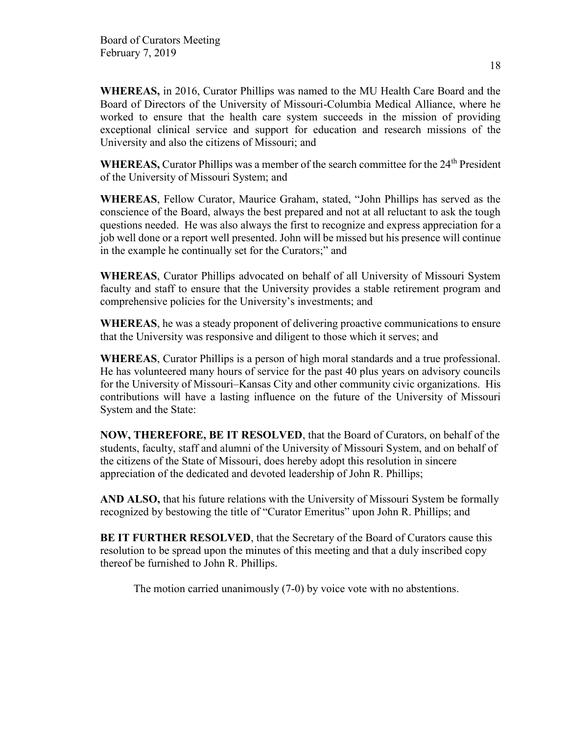**WHEREAS,** in 2016, Curator Phillips was named to the MU Health Care Board and the Board of Directors of the University of Missouri-Columbia Medical Alliance, where he worked to ensure that the health care system succeeds in the mission of providing exceptional clinical service and support for education and research missions of the University and also the citizens of Missouri; and

WHEREAS, Curator Phillips was a member of the search committee for the 24<sup>th</sup> President of the University of Missouri System; and

**WHEREAS**, Fellow Curator, Maurice Graham, stated, "John Phillips has served as the conscience of the Board, always the best prepared and not at all reluctant to ask the tough questions needed. He was also always the first to recognize and express appreciation for a job well done or a report well presented. John will be missed but his presence will continue in the example he continually set for the Curators;" and

**WHEREAS**, Curator Phillips advocated on behalf of all University of Missouri System faculty and staff to ensure that the University provides a stable retirement program and comprehensive policies for the University's investments; and

**WHEREAS**, he was a steady proponent of delivering proactive communications to ensure that the University was responsive and diligent to those which it serves; and

**WHEREAS**, Curator Phillips is a person of high moral standards and a true professional. He has volunteered many hours of service for the past 40 plus years on advisory councils for the University of Missouri–Kansas City and other community civic organizations. His contributions will have a lasting influence on the future of the University of Missouri System and the State:

**NOW, THEREFORE, BE IT RESOLVED**, that the Board of Curators, on behalf of the students, faculty, staff and alumni of the University of Missouri System, and on behalf of the citizens of the State of Missouri, does hereby adopt this resolution in sincere appreciation of the dedicated and devoted leadership of John R. Phillips;

**AND ALSO,** that his future relations with the University of Missouri System be formally recognized by bestowing the title of "Curator Emeritus" upon John R. Phillips; and

**BE IT FURTHER RESOLVED**, that the Secretary of the Board of Curators cause this resolution to be spread upon the minutes of this meeting and that a duly inscribed copy thereof be furnished to John R. Phillips.

The motion carried unanimously (7-0) by voice vote with no abstentions.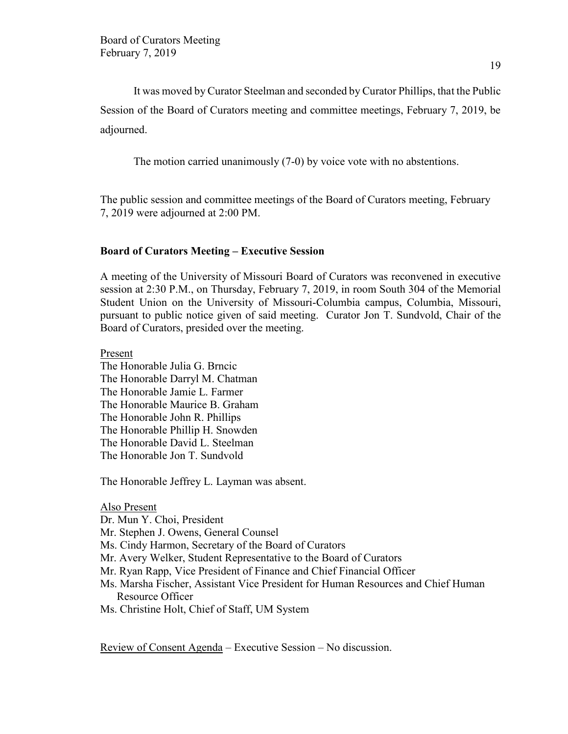It was moved by Curator Steelman and seconded by Curator Phillips, that the Public Session of the Board of Curators meeting and committee meetings, February 7, 2019, be adjourned.

The motion carried unanimously (7-0) by voice vote with no abstentions.

The public session and committee meetings of the Board of Curators meeting, February 7, 2019 were adjourned at 2:00 PM.

### **Board of Curators Meeting – Executive Session**

A meeting of the University of Missouri Board of Curators was reconvened in executive session at 2:30 P.M., on Thursday, February 7, 2019, in room South 304 of the Memorial Student Union on the University of Missouri-Columbia campus, Columbia, Missouri, pursuant to public notice given of said meeting. Curator Jon T. Sundvold, Chair of the Board of Curators, presided over the meeting.

Present The Honorable Julia G. Brncic The Honorable Darryl M. Chatman The Honorable Jamie L. Farmer The Honorable Maurice B. Graham The Honorable John R. Phillips The Honorable Phillip H. Snowden The Honorable David L. Steelman The Honorable Jon T. Sundvold

The Honorable Jeffrey L. Layman was absent.

### Also Present

Dr. Mun Y. Choi, President

- Mr. Stephen J. Owens, General Counsel
- Ms. Cindy Harmon, Secretary of the Board of Curators
- Mr. Avery Welker, Student Representative to the Board of Curators
- Mr. Ryan Rapp, Vice President of Finance and Chief Financial Officer
- Ms. Marsha Fischer, Assistant Vice President for Human Resources and Chief Human Resource Officer
- Ms. Christine Holt, Chief of Staff, UM System

Review of Consent Agenda – Executive Session – No discussion.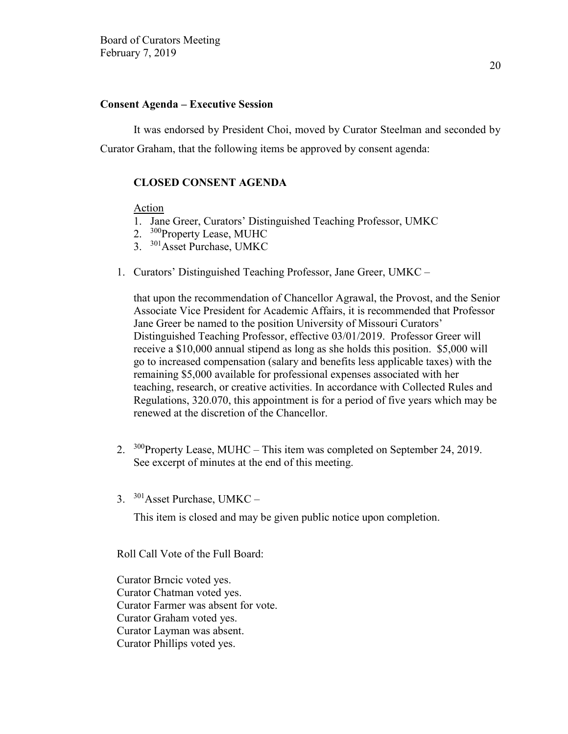#### **Consent Agenda – Executive Session**

It was endorsed by President Choi, moved by Curator Steelman and seconded by Curator Graham, that the following items be approved by consent agenda:

### **CLOSED CONSENT AGENDA**

Action

- 1. Jane Greer, Curators' Distinguished Teaching Professor, UMKC
- 2. <sup>300</sup>Property Lease, MUHC
- 3. <sup>301</sup>Asset Purchase, UMKC
- 1. Curators' Distinguished Teaching Professor, Jane Greer, UMKC –

that upon the recommendation of Chancellor Agrawal, the Provost, and the Senior Associate Vice President for Academic Affairs, it is recommended that Professor Jane Greer be named to the position University of Missouri Curators' Distinguished Teaching Professor, effective 03/01/2019. Professor Greer will receive a \$10,000 annual stipend as long as she holds this position. \$5,000 will go to increased compensation (salary and benefits less applicable taxes) with the remaining \$5,000 available for professional expenses associated with her teaching, research, or creative activities. In accordance with Collected Rules and Regulations, 320.070, this appointment is for a period of five years which may be renewed at the discretion of the Chancellor.

- 2. <sup>300</sup>Property Lease, MUHC This item was completed on September 24, 2019. See excerpt of minutes at the end of this meeting.
- 3. <sup>301</sup>Asset Purchase, UMKC –

This item is closed and may be given public notice upon completion.

Roll Call Vote of the Full Board:

Curator Brncic voted yes. Curator Chatman voted yes. Curator Farmer was absent for vote. Curator Graham voted yes. Curator Layman was absent. Curator Phillips voted yes.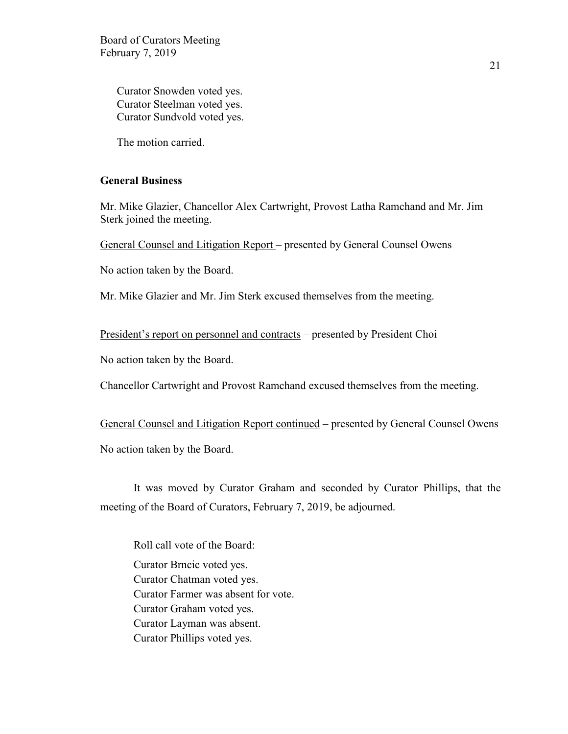Curator Snowden voted yes. Curator Steelman voted yes. Curator Sundvold voted yes.

The motion carried.

### **General Business**

Mr. Mike Glazier, Chancellor Alex Cartwright, Provost Latha Ramchand and Mr. Jim Sterk joined the meeting.

General Counsel and Litigation Report – presented by General Counsel Owens

No action taken by the Board.

Mr. Mike Glazier and Mr. Jim Sterk excused themselves from the meeting.

President's report on personnel and contracts – presented by President Choi

No action taken by the Board.

Chancellor Cartwright and Provost Ramchand excused themselves from the meeting.

General Counsel and Litigation Report continued – presented by General Counsel Owens

No action taken by the Board.

It was moved by Curator Graham and seconded by Curator Phillips, that the meeting of the Board of Curators, February 7, 2019, be adjourned.

Roll call vote of the Board: Curator Brncic voted yes. Curator Chatman voted yes. Curator Farmer was absent for vote. Curator Graham voted yes. Curator Layman was absent. Curator Phillips voted yes.